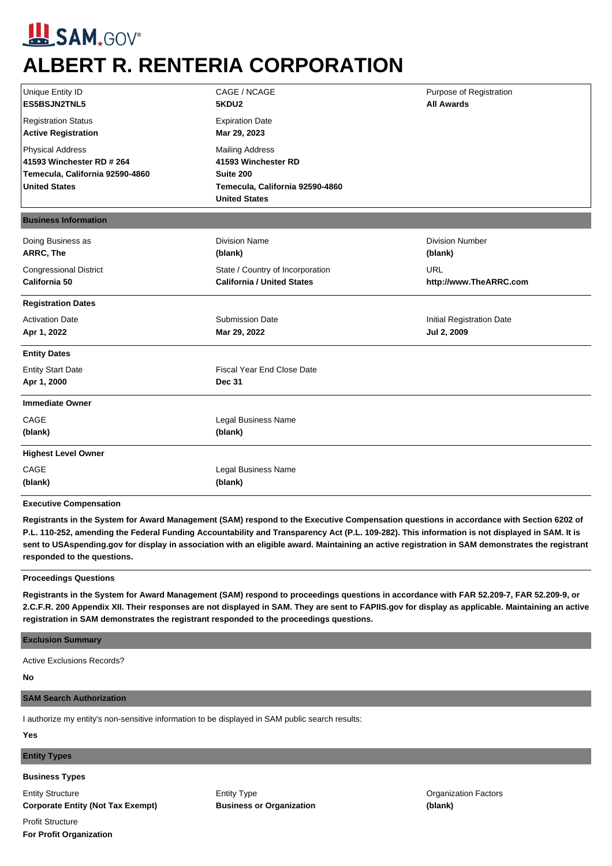# **SAM,GOV® ALBERT R. RENTERIA CORPORATION**

| Unique Entity ID<br>ES5BSJN2TNL5                                                                                | CAGE / NCAGE<br>Purpose of Registration<br><b>All Awards</b><br>5KDU2                                                 |                                          |  |
|-----------------------------------------------------------------------------------------------------------------|-----------------------------------------------------------------------------------------------------------------------|------------------------------------------|--|
| <b>Registration Status</b><br><b>Active Registration</b>                                                        | <b>Expiration Date</b><br>Mar 29, 2023                                                                                |                                          |  |
| <b>Physical Address</b><br>41593 Winchester RD # 264<br>Temecula, California 92590-4860<br><b>United States</b> | <b>Mailing Address</b><br>41593 Winchester RD<br>Suite 200<br>Temecula, California 92590-4860<br><b>United States</b> |                                          |  |
| <b>Business Information</b>                                                                                     |                                                                                                                       |                                          |  |
| Doing Business as<br>ARRC, The                                                                                  | <b>Division Name</b><br>(blank)                                                                                       | <b>Division Number</b><br>(blank)        |  |
| <b>Congressional District</b><br>California 50                                                                  | State / Country of Incorporation<br><b>California / United States</b>                                                 | <b>URL</b><br>http://www.TheARRC.com     |  |
| <b>Registration Dates</b>                                                                                       |                                                                                                                       |                                          |  |
| <b>Activation Date</b><br>Apr 1, 2022                                                                           | <b>Submission Date</b><br>Mar 29, 2022                                                                                | Initial Registration Date<br>Jul 2, 2009 |  |
| <b>Entity Dates</b>                                                                                             |                                                                                                                       |                                          |  |
| <b>Entity Start Date</b><br>Apr 1, 2000                                                                         | <b>Fiscal Year End Close Date</b><br><b>Dec 31</b>                                                                    |                                          |  |
| <b>Immediate Owner</b>                                                                                          |                                                                                                                       |                                          |  |
| CAGE<br>(blank)                                                                                                 | Legal Business Name<br>(blank)                                                                                        |                                          |  |
| <b>Highest Level Owner</b>                                                                                      |                                                                                                                       |                                          |  |
| CAGE<br>(blank)                                                                                                 | Legal Business Name<br>(blank)                                                                                        |                                          |  |

**Executive Compensation**

**Registrants in the System for Award Management (SAM) respond to the Executive Compensation questions in accordance with Section 6202 of P.L. 110-252, amending the Federal Funding Accountability and Transparency Act (P.L. 109-282). This information is not displayed in SAM. It is sent to USAspending.gov for display in association with an eligible award. Maintaining an active registration in SAM demonstrates the registrant responded to the questions.**

### **Proceedings Questions**

**Registrants in the System for Award Management (SAM) respond to proceedings questions in accordance with FAR 52.209-7, FAR 52.209-9, or 2.C.F.R. 200 Appendix XII. Their responses are not displayed in SAM. They are sent to FAPIIS.gov for display as applicable. Maintaining an active registration in SAM demonstrates the registrant responded to the proceedings questions.**

#### **Exclusion Summary**

Active Exclusions Records?

#### **No**

#### **SAM Search Authorization**

I authorize my entity's non-sensitive information to be displayed in SAM public search results:

**Yes**

## **Entity Types**

**Business Types**

Entity Structure **Corporate Entity (Not Tax Exempt)** Entity Type **Business or Organization**

Organization Factors **(blank)**

Profit Structure **For Profit Organization**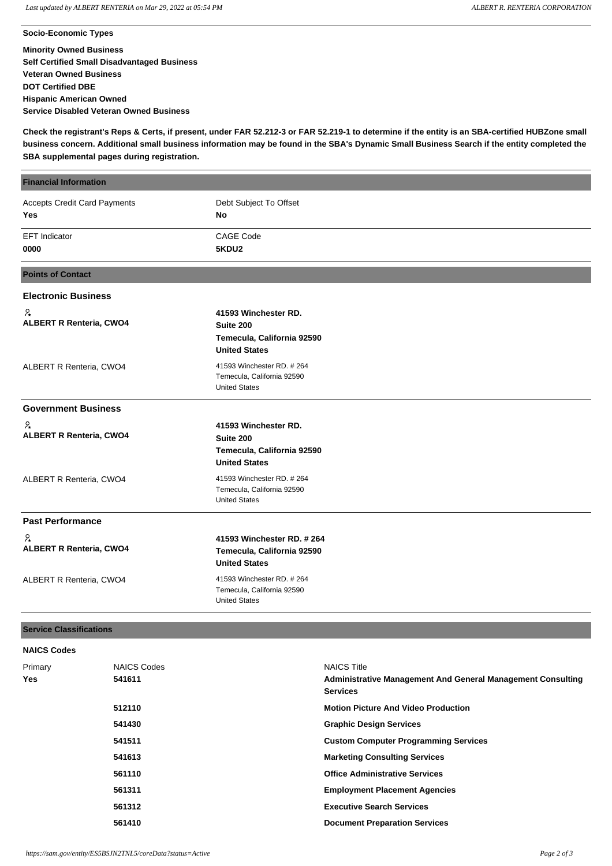**Socio-Economic Types Minority Owned Business Self Certified Small Disadvantaged Business Veteran Owned Business DOT Certified DBE Hispanic American Owned Service Disabled Veteran Owned Business**

**Check the registrant's Reps & Certs, if present, under FAR 52.212-3 or FAR 52.219-1 to determine if the entity is an SBA-certified HUBZone small business concern. Additional small business information may be found in the SBA's Dynamic Small Business Search if the entity completed the SBA supplemental pages during registration.**

| <b>Financial Information</b>                      |                                                                                         |  |  |  |
|---------------------------------------------------|-----------------------------------------------------------------------------------------|--|--|--|
| <b>Accepts Credit Card Payments</b><br><b>Yes</b> | Debt Subject To Offset<br>No                                                            |  |  |  |
| <b>EFT</b> Indicator<br>0000                      | <b>CAGE Code</b><br>5KDU2                                                               |  |  |  |
| <b>Points of Contact</b>                          |                                                                                         |  |  |  |
| <b>Electronic Business</b>                        |                                                                                         |  |  |  |
| ዖ∗<br><b>ALBERT R Renteria, CWO4</b>              | 41593 Winchester RD.<br>Suite 200<br>Temecula, California 92590<br><b>United States</b> |  |  |  |
| ALBERT R Renteria, CWO4                           | 41593 Winchester RD, #264<br>Temecula, California 92590<br><b>United States</b>         |  |  |  |
| <b>Government Business</b>                        |                                                                                         |  |  |  |
| ႓<br><b>ALBERT R Renteria, CWO4</b>               | 41593 Winchester RD.<br>Suite 200<br>Temecula, California 92590<br><b>United States</b> |  |  |  |
| ALBERT R Renteria, CWO4                           | 41593 Winchester RD. # 264<br>Temecula, California 92590<br><b>United States</b>        |  |  |  |
| <b>Past Performance</b>                           |                                                                                         |  |  |  |
| 2<br><b>ALBERT R Renteria, CWO4</b>               | 41593 Winchester RD, #264<br>Temecula, California 92590<br><b>United States</b>         |  |  |  |
| ALBERT R Renteria, CWO4                           | 41593 Winchester RD. # 264<br>Temecula, California 92590<br><b>United States</b>        |  |  |  |

### **Service Classifications**

**NAICS Codes**

| <b>NAIGO COURS</b> |                    |                                                                                       |
|--------------------|--------------------|---------------------------------------------------------------------------------------|
| Primary            | <b>NAICS Codes</b> | <b>NAICS Title</b>                                                                    |
| <b>Yes</b>         | 541611             | <b>Administrative Management And General Management Consulting</b><br><b>Services</b> |
|                    | 512110             | <b>Motion Picture And Video Production</b>                                            |
|                    | 541430             | <b>Graphic Design Services</b>                                                        |
|                    | 541511             | <b>Custom Computer Programming Services</b>                                           |
|                    | 541613             | <b>Marketing Consulting Services</b>                                                  |
|                    | 561110             | <b>Office Administrative Services</b>                                                 |
|                    | 561311             | <b>Employment Placement Agencies</b>                                                  |
|                    | 561312             | <b>Executive Search Services</b>                                                      |
|                    | 561410             | <b>Document Preparation Services</b>                                                  |
|                    |                    |                                                                                       |